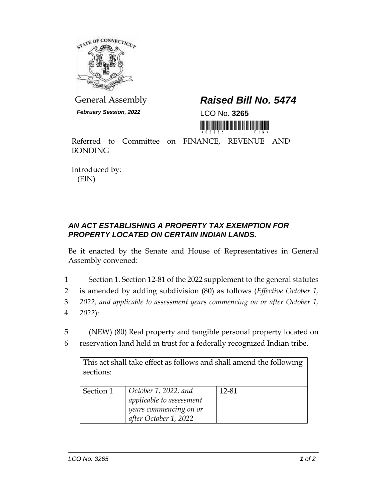

*February Session, 2022* LCO No. **3265**

## General Assembly *Raised Bill No. 5474*

<u> III Alian Antonin Maria Antonin Maria Antonin Maria Antonin Maria Antonin Maria Antonin Maria Antonin Maria A</u>

Referred to Committee on FINANCE, REVENUE AND BONDING

Introduced by: (FIN)

## *AN ACT ESTABLISHING A PROPERTY TAX EXEMPTION FOR PROPERTY LOCATED ON CERTAIN INDIAN LANDS.*

Be it enacted by the Senate and House of Representatives in General Assembly convened:

- 1 Section 1. Section 12-81 of the 2022 supplement to the general statutes
- 2 is amended by adding subdivision (80) as follows (*Effective October 1,*
- 3 *2022, and applicable to assessment years commencing on or after October 1,*  4 *2022*):
- 5 (NEW) (80) Real property and tangible personal property located on
- 6 reservation land held in trust for a federally recognized Indian tribe.

| This act shall take effect as follows and shall amend the following<br>sections: |                                                                                                     |       |
|----------------------------------------------------------------------------------|-----------------------------------------------------------------------------------------------------|-------|
|                                                                                  |                                                                                                     |       |
| Section 1                                                                        | October 1, 2022, and<br>applicable to assessment<br>years commencing on or<br>after October 1, 2022 | 12-81 |